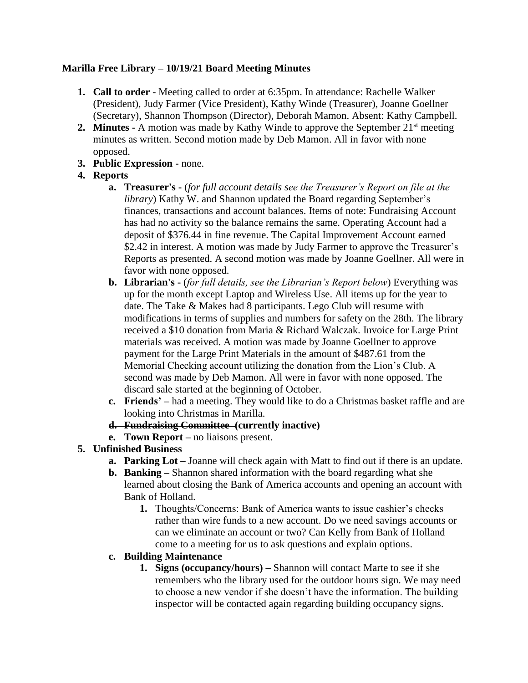# **Marilla Free Library – 10/19/21 Board Meeting Minutes**

- **1. Call to order** Meeting called to order at 6:35pm. In attendance: Rachelle Walker (President), Judy Farmer (Vice President), Kathy Winde (Treasurer), Joanne Goellner (Secretary), Shannon Thompson (Director), Deborah Mamon. Absent: Kathy Campbell.
- **2. Minutes -** A motion was made by Kathy Winde to approve the September 21<sup>st</sup> meeting minutes as written. Second motion made by Deb Mamon. All in favor with none opposed.
- **3. Public Expression -** none.

# **4. Reports**

- **a. Treasurer's -** (*for full account details see the Treasurer's Report on file at the library*) Kathy W. and Shannon updated the Board regarding September's finances, transactions and account balances. Items of note: Fundraising Account has had no activity so the balance remains the same. Operating Account had a deposit of \$376.44 in fine revenue. The Capital Improvement Account earned \$2.42 in interest. A motion was made by Judy Farmer to approve the Treasurer's Reports as presented. A second motion was made by Joanne Goellner. All were in favor with none opposed.
- **b. Librarian's -** (*for full details, see the Librarian's Report below*) Everything was up for the month except Laptop and Wireless Use. All items up for the year to date. The Take & Makes had 8 participants. Lego Club will resume with modifications in terms of supplies and numbers for safety on the 28th. The library received a \$10 donation from Maria & Richard Walczak. Invoice for Large Print materials was received. A motion was made by Joanne Goellner to approve payment for the Large Print Materials in the amount of \$487.61 from the Memorial Checking account utilizing the donation from the Lion's Club. A second was made by Deb Mamon. All were in favor with none opposed. The discard sale started at the beginning of October.
- **c. Friends' –** had a meeting. They would like to do a Christmas basket raffle and are looking into Christmas in Marilla.
- **d. Fundraising Committee (currently inactive)**
- **e. Town Report –** no liaisons present.
- **5. Unfinished Business** 
	- **a. Parking Lot –** Joanne will check again with Matt to find out if there is an update.
	- **b. Banking –** Shannon shared information with the board regarding what she learned about closing the Bank of America accounts and opening an account with Bank of Holland.
		- **1.** Thoughts/Concerns: Bank of America wants to issue cashier's checks rather than wire funds to a new account. Do we need savings accounts or can we eliminate an account or two? Can Kelly from Bank of Holland come to a meeting for us to ask questions and explain options.
	- **c. Building Maintenance**
		- **1. Signs (occupancy/hours) –** Shannon will contact Marte to see if she remembers who the library used for the outdoor hours sign. We may need to choose a new vendor if she doesn't have the information. The building inspector will be contacted again regarding building occupancy signs.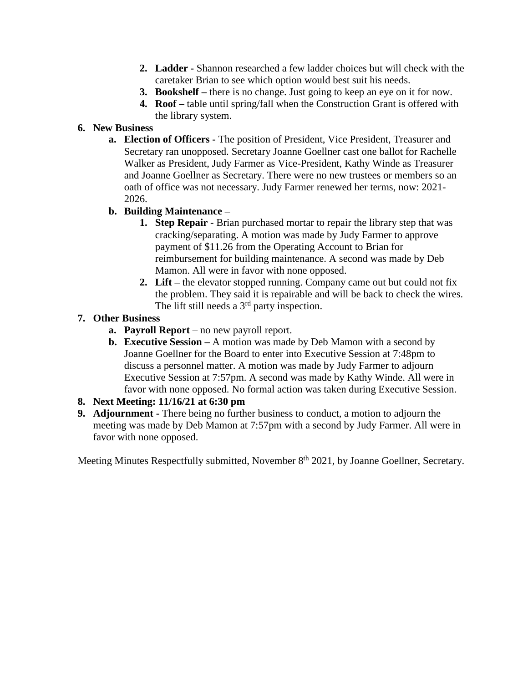- **2. Ladder -** Shannon researched a few ladder choices but will check with the caretaker Brian to see which option would best suit his needs.
- **3. Bookshelf –** there is no change. Just going to keep an eye on it for now.
- **4. Roof –** table until spring/fall when the Construction Grant is offered with the library system.

# **6. New Business**

- **a. Election of Officers -** The position of President, Vice President, Treasurer and Secretary ran unopposed. Secretary Joanne Goellner cast one ballot for Rachelle Walker as President, Judy Farmer as Vice-President, Kathy Winde as Treasurer and Joanne Goellner as Secretary. There were no new trustees or members so an oath of office was not necessary. Judy Farmer renewed her terms, now: 2021- 2026.
- **b. Building Maintenance –**
	- **1. Step Repair** Brian purchased mortar to repair the library step that was cracking/separating. A motion was made by Judy Farmer to approve payment of \$11.26 from the Operating Account to Brian for reimbursement for building maintenance. A second was made by Deb Mamon. All were in favor with none opposed.
	- **2. Lift –** the elevator stopped running. Company came out but could not fix the problem. They said it is repairable and will be back to check the wires. The lift still needs a  $3<sup>rd</sup>$  party inspection.

# **7. Other Business**

- **a. Payroll Report** no new payroll report.
- **b. Executive Session –** A motion was made by Deb Mamon with a second by Joanne Goellner for the Board to enter into Executive Session at 7:48pm to discuss a personnel matter. A motion was made by Judy Farmer to adjourn Executive Session at 7:57pm. A second was made by Kathy Winde. All were in favor with none opposed. No formal action was taken during Executive Session.

## **8. Next Meeting: 11/16/21 at 6:30 pm**

**9. Adjournment -** There being no further business to conduct, a motion to adjourn the meeting was made by Deb Mamon at 7:57pm with a second by Judy Farmer. All were in favor with none opposed.

Meeting Minutes Respectfully submitted, November 8<sup>th</sup> 2021, by Joanne Goellner, Secretary.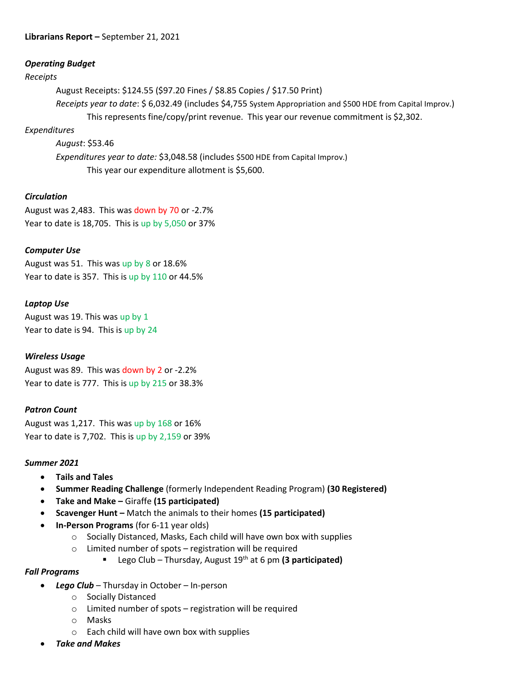#### **Librarians Report –** September 21, 2021

#### *Operating Budget*

#### *Receipts*

August Receipts: \$124.55 (\$97.20 Fines / \$8.85 Copies / \$17.50 Print) *Receipts year to date*: \$ 6,032.49 (includes \$4,755 System Appropriation and \$500 HDE from Capital Improv.) This represents fine/copy/print revenue. This year our revenue commitment is \$2,302.

### *Expenditures*

*August*: \$53.46 *Expenditures year to date:* \$3,048.58 (includes \$500 HDE from Capital Improv.) This year our expenditure allotment is \$5,600.

## *Circulation*

August was 2,483. This was down by 70 or -2.7% Year to date is 18,705. This is up by 5,050 or 37%

## *Computer Use*

August was 51. This was up by 8 or 18.6% Year to date is 357. This is up by 110 or 44.5%

## *Laptop Use*

August was 19. This was up by 1 Year to date is 94. This is up by 24

### *Wireless Usage*

August was 89. This was down by 2 or -2.2% Year to date is 777. This is up by 215 or 38.3%

### *Patron Count*

August was 1,217. This was up by 168 or 16% Year to date is 7,702. This is up by 2,159 or 39%

### *Summer 2021*

- **Tails and Tales**
- **Summer Reading Challenge** (formerly Independent Reading Program) **(30 Registered)**
- **Take and Make –** Giraffe **(15 participated)**
- **Scavenger Hunt –** Match the animals to their homes **(15 participated)**
- **In-Person Programs** (for 6-11 year olds)
	- o Socially Distanced, Masks, Each child will have own box with supplies
	- o Limited number of spots registration will be required
		- Lego Club Thursday, August 19th at 6 pm **(3 participated)**

### *Fall Programs*

- *Lego Club*  Thursday in October In-person
	- o Socially Distanced
	- o Limited number of spots registration will be required
	- o Masks
	- o Each child will have own box with supplies
- *Take and Makes*